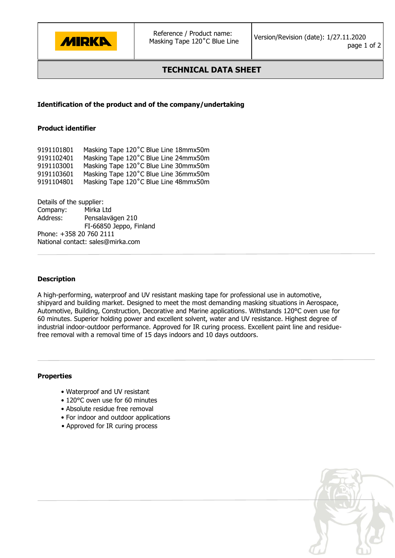

# **TECHNICAL DATA SHEET**

# **Identification of the product and of the company/undertaking**

#### **Product identifier**

| 9191101801 | Masking Tape 120°C Blue Line 18mmx50m |
|------------|---------------------------------------|
| 9191102401 | Masking Tape 120°C Blue Line 24mmx50m |
| 9191103001 | Masking Tape 120°C Blue Line 30mmx50m |
| 9191103601 | Masking Tape 120°C Blue Line 36mmx50m |
| 9191104801 | Masking Tape 120°C Blue Line 48mmx50m |

Details of the supplier: Company: Mirka Ltd Address: Pensalavägen 210 FI-66850 Jeppo, Finland Phone: +358 20 760 2111 National contact: sales@mirka.com

#### **Description**

A high-performing, waterproof and UV resistant masking tape for professional use in automotive, shipyard and building market. Designed to meet the most demanding masking situations in Aerospace, Automotive, Building, Construction, Decorative and Marine applications. Withstands 120°C oven use for 60 minutes. Superior holding power and excellent solvent, water and UV resistance. Highest degree of industrial indoor-outdoor performance. Approved for IR curing process. Excellent paint line and residuefree removal with a removal time of 15 days indoors and 10 days outdoors.

## **Properties**

- Waterproof and UV resistant
- 120°C oven use for 60 minutes
- Absolute residue free removal
- For indoor and outdoor applications
- Approved for IR curing process